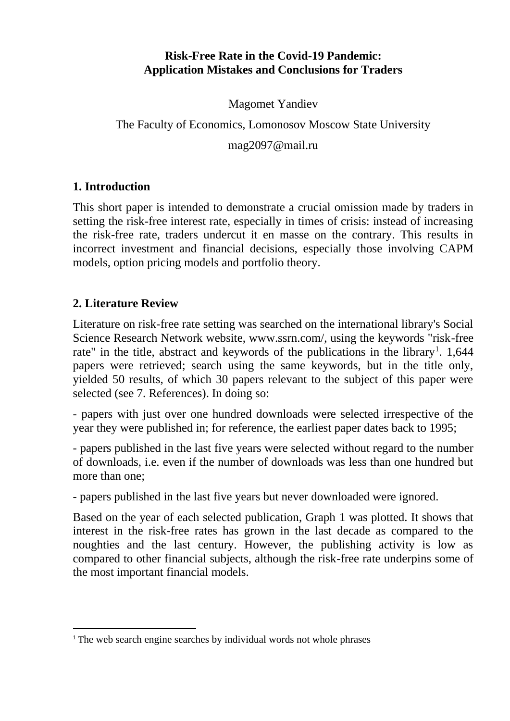# **Risk-Free Rate in the Covid-19 Pandemic: Application Mistakes and Conclusions for Traders**

Magomet Yandiev

The Faculty of Economics, Lomonosov Moscow State University

mag2097@mail.ru

# **1. Introduction**

This short paper is intended to demonstrate a crucial omission made by traders in setting the risk-free interest rate, especially in times of crisis: instead of increasing the risk-free rate, traders undercut it en masse on the contrary. This results in incorrect investment and financial decisions, especially those involving CAPM models, option pricing models and portfolio theory.

### **2. Literature Review**

Literature on risk-free rate setting was searched on the international library's Social Science Research Network website, www.ssrn.com/, using the keywords "risk-free rate" in the title, abstract and keywords of the publications in the library<sup>1</sup>.  $1,644$ papers were retrieved; search using the same keywords, but in the title only, yielded 50 results, of which 30 papers relevant to the subject of this paper were selected (see 7. References). In doing so:

- papers with just over one hundred downloads were selected irrespective of the year they were published in; for reference, the earliest paper dates back to 1995;

- papers published in the last five years were selected without regard to the number of downloads, i.e. even if the number of downloads was less than one hundred but more than one;

- papers published in the last five years but never downloaded were ignored.

Based on the year of each selected publication, Graph 1 was plotted. It shows that interest in the risk-free rates has grown in the last decade as compared to the noughties and the last century. However, the publishing activity is low as compared to other financial subjects, although the risk-free rate underpins some of the most important financial models.

<sup>&</sup>lt;sup>1</sup> The web search engine searches by individual words not whole phrases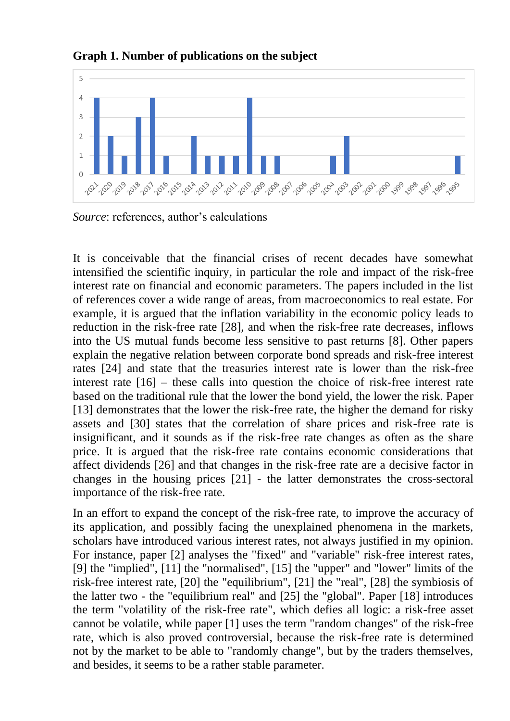

**Graph 1. Number of publications on the subject**

*Source*: references, author's calculations

It is conceivable that the financial crises of recent decades have somewhat intensified the scientific inquiry, in particular the role and impact of the risk-free interest rate on financial and economic parameters. The papers included in the list of references cover a wide range of areas, from macroeconomics to real estate. For example, it is argued that the inflation variability in the economic policy leads to reduction in the risk-free rate [28], and when the risk-free rate decreases, inflows into the US mutual funds become less sensitive to past returns [8]. Other papers explain the negative relation between corporate bond spreads and risk-free interest rates [24] and state that the treasuries interest rate is lower than the risk-free interest rate [16] – these calls into question the choice of risk-free interest rate based on the traditional rule that the lower the bond yield, the lower the risk. Paper [13] demonstrates that the lower the risk-free rate, the higher the demand for risky assets and [30] states that the correlation of share prices and risk-free rate is insignificant, and it sounds as if the risk-free rate changes as often as the share price. It is argued that the risk-free rate contains economic considerations that affect dividends [26] and that changes in the risk-free rate are a decisive factor in changes in the housing prices [21] - the latter demonstrates the cross-sectoral importance of the risk-free rate.

In an effort to expand the concept of the risk-free rate, to improve the accuracy of its application, and possibly facing the unexplained phenomena in the markets, scholars have introduced various interest rates, not always justified in my opinion. For instance, paper [2] analyses the "fixed" and "variable" risk-free interest rates, [9] the "implied", [11] the "normalised", [15] the "upper" and "lower" limits of the risk-free interest rate, [20] the "equilibrium", [21] the "real", [28] the symbiosis of the latter two - the "equilibrium real" and [25] the "global". Paper [18] introduces the term "volatility of the risk-free rate", which defies all logic: a risk-free asset cannot be volatile, while paper [1] uses the term "random changes" of the risk-free rate, which is also proved controversial, because the risk-free rate is determined not by the market to be able to "randomly change", but by the traders themselves, and besides, it seems to be a rather stable parameter.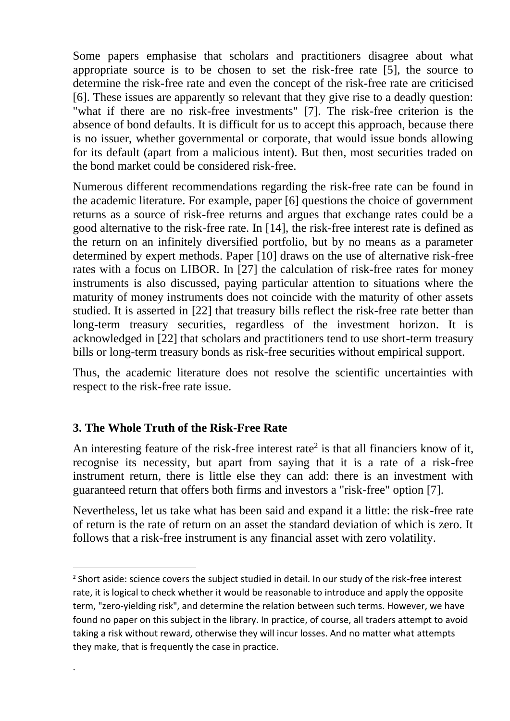Some papers emphasise that scholars and practitioners disagree about what appropriate source is to be chosen to set the risk-free rate [5], the source to determine the risk-free rate and even the concept of the risk-free rate are criticised [6]. These issues are apparently so relevant that they give rise to a deadly question: "what if there are no risk-free investments" [7]. The risk-free criterion is the absence of bond defaults. It is difficult for us to accept this approach, because there is no issuer, whether governmental or corporate, that would issue bonds allowing for its default (apart from a malicious intent). But then, most securities traded on the bond market could be considered risk-free.

Numerous different recommendations regarding the risk-free rate can be found in the academic literature. For example, paper [6] questions the choice of government returns as a source of risk-free returns and argues that exchange rates could be a good alternative to the risk-free rate. In [14], the risk-free interest rate is defined as the return on an infinitely diversified portfolio, but by no means as a parameter determined by expert methods. Paper [10] draws on the use of alternative risk-free rates with a focus on LIBOR. In [27] the calculation of risk-free rates for money instruments is also discussed, paying particular attention to situations where the maturity of money instruments does not coincide with the maturity of other assets studied. It is asserted in [22] that treasury bills reflect the risk-free rate better than long-term treasury securities, regardless of the investment horizon. It is acknowledged in [22] that scholars and practitioners tend to use short-term treasury bills or long-term treasury bonds as risk-free securities without empirical support.

Thus, the academic literature does not resolve the scientific uncertainties with respect to the risk-free rate issue.

### **3. The Whole Truth of the Risk-Free Rate**

.

An interesting feature of the risk-free interest rate<sup>2</sup> is that all financiers know of it, recognise its necessity, but apart from saying that it is a rate of a risk-free instrument return, there is little else they can add: there is an investment with guaranteed return that offers both firms and investors a "risk-free" option [7].

Nevertheless, let us take what has been said and expand it a little: the risk-free rate of return is the rate of return on an asset the standard deviation of which is zero. It follows that a risk-free instrument is any financial asset with zero volatility.

<sup>&</sup>lt;sup>2</sup> Short aside: science covers the subject studied in detail. In our study of the risk-free interest rate, it is logical to check whether it would be reasonable to introduce and apply the opposite term, "zero-yielding risk", and determine the relation between such terms. However, we have found no paper on this subject in the library. In practice, of course, all traders attempt to avoid taking a risk without reward, otherwise they will incur losses. And no matter what attempts they make, that is frequently the case in practice.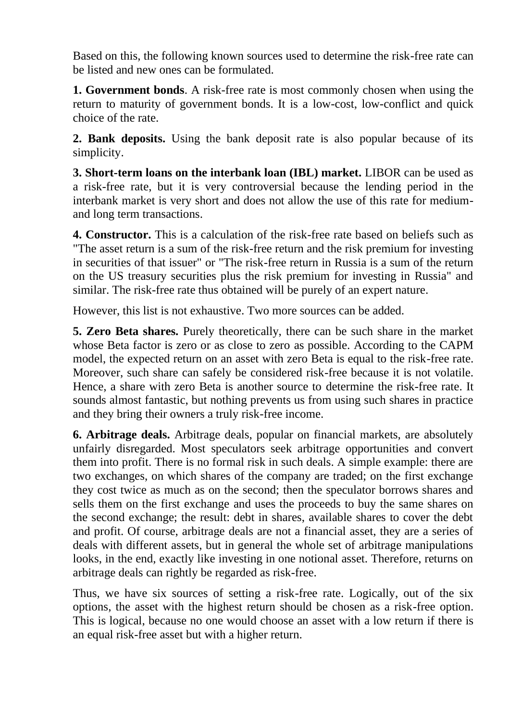Based on this, the following known sources used to determine the risk-free rate can be listed and new ones can be formulated.

**1. Government bonds**. A risk-free rate is most commonly chosen when using the return to maturity of government bonds. It is a low-cost, low-conflict and quick choice of the rate.

**2. Bank deposits.** Using the bank deposit rate is also popular because of its simplicity.

**3. Short-term loans on the interbank loan (IBL) market.** LIBOR can be used as a risk-free rate, but it is very controversial because the lending period in the interbank market is very short and does not allow the use of this rate for mediumand long term transactions.

**4. Constructor.** This is a calculation of the risk-free rate based on beliefs such as "The asset return is a sum of the risk-free return and the risk premium for investing in securities of that issuer" or "The risk-free return in Russia is a sum of the return on the US treasury securities plus the risk premium for investing in Russia" and similar. The risk-free rate thus obtained will be purely of an expert nature.

However, this list is not exhaustive. Two more sources can be added.

**5. Zero Beta shares.** Purely theoretically, there can be such share in the market whose Beta factor is zero or as close to zero as possible. According to the CAPM model, the expected return on an asset with zero Beta is equal to the risk-free rate. Moreover, such share can safely be considered risk-free because it is not volatile. Hence, a share with zero Beta is another source to determine the risk-free rate. It sounds almost fantastic, but nothing prevents us from using such shares in practice and they bring their owners a truly risk-free income.

**6. Arbitrage deals.** Arbitrage deals, popular on financial markets, are absolutely unfairly disregarded. Most speculators seek arbitrage opportunities and convert them into profit. There is no formal risk in such deals. A simple example: there are two exchanges, on which shares of the company are traded; on the first exchange they cost twice as much as on the second; then the speculator borrows shares and sells them on the first exchange and uses the proceeds to buy the same shares on the second exchange; the result: debt in shares, available shares to cover the debt and profit. Of course, arbitrage deals are not a financial asset, they are a series of deals with different assets, but in general the whole set of arbitrage manipulations looks, in the end, exactly like investing in one notional asset. Therefore, returns on arbitrage deals can rightly be regarded as risk-free.

Thus, we have six sources of setting a risk-free rate. Logically, out of the six options, the asset with the highest return should be chosen as a risk-free option. This is logical, because no one would choose an asset with a low return if there is an equal risk-free asset but with a higher return.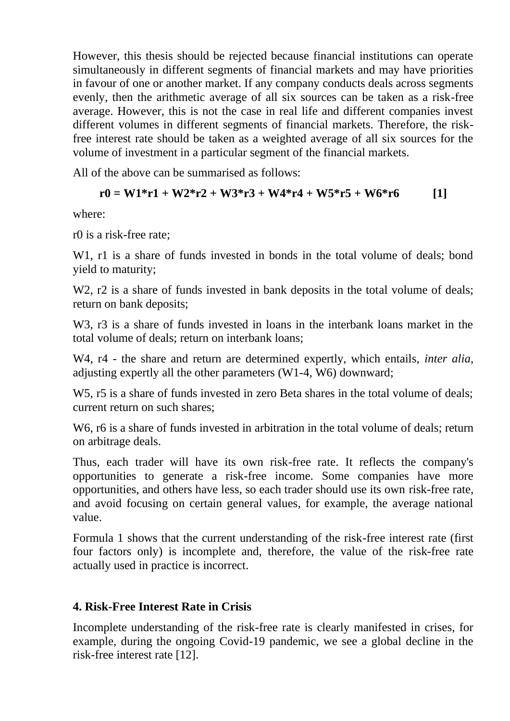However, this thesis should be rejected because financial institutions can operate simultaneously in different segments of financial markets and may have priorities in favour of one or another market. If any company conducts deals across segments evenly, then the arithmetic average of all six sources can be taken as a risk-free average. However, this is not the case in real life and different companies invest different volumes in different segments of financial markets. Therefore, the riskfree interest rate should be taken as a weighted average of all six sources for the volume of investment in a particular segment of the financial markets.

All of the above can be summarised as follows:

### $r0 = W1*r1 + W2*r2 + W3*r3 + W4*r4 + W5*r5 + W6*r6$  [1]

where:

r0 is a risk-free rate;

W<sub>1</sub>, r<sub>1</sub> is a share of funds invested in bonds in the total volume of deals; bond yield to maturity;

W2, r2 is a share of funds invested in bank deposits in the total volume of deals; return on bank deposits;

W<sub>3</sub>, r<sub>3</sub> is a share of funds invested in loans in the interbank loans market in the total volume of deals; return on interbank loans;

W4, r4 - the share and return are determined expertly, which entails, *inter alia*, adjusting expertly all the other parameters (W1-4, W6) downward;

W5, r5 is a share of funds invested in zero Beta shares in the total volume of deals; current return on such shares;

W6, r6 is a share of funds invested in arbitration in the total volume of deals; return on arbitrage deals.

Thus, each trader will have its own risk-free rate. It reflects the company's opportunities to generate a risk-free income. Some companies have more opportunities, and others have less, so each trader should use its own risk-free rate, and avoid focusing on certain general values, for example, the average national value.

Formula 1 shows that the current understanding of the risk-free interest rate (first four factors only) is incomplete and, therefore, the value of the risk-free rate actually used in practice is incorrect.

#### **4. Risk-Free Interest Rate in Crisis**

Incomplete understanding of the risk-free rate is clearly manifested in crises, for example, during the ongoing Covid-19 pandemic, we see a global decline in the risk-free interest rate [12].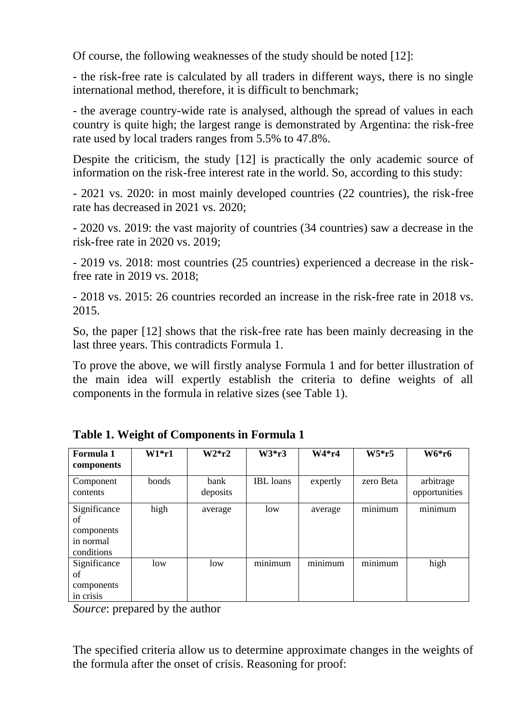Of course, the following weaknesses of the study should be noted [12]:

- the risk-free rate is calculated by all traders in different ways, there is no single international method, therefore, it is difficult to benchmark;

- the average country-wide rate is analysed, although the spread of values in each country is quite high; the largest range is demonstrated by Argentina: the risk-free rate used by local traders ranges from 5.5% to 47.8%.

Despite the criticism, the study [12] is practically the only academic source of information on the risk-free interest rate in the world. So, according to this study:

- 2021 vs. 2020: in most mainly developed countries (22 countries), the risk-free rate has decreased in 2021 vs. 2020;

- 2020 vs. 2019: the vast majority of countries (34 countries) saw a decrease in the risk-free rate in 2020 vs. 2019;

- 2019 vs. 2018: most countries (25 countries) experienced a decrease in the riskfree rate in 2019 vs. 2018;

- 2018 vs. 2015: 26 countries recorded an increase in the risk-free rate in 2018 vs. 2015.

So, the paper [12] shows that the risk-free rate has been mainly decreasing in the last three years. This contradicts Formula 1.

To prove the above, we will firstly analyse Formula 1 and for better illustration of the main idea will expertly establish the criteria to define weights of all components in the formula in relative sizes (see Table 1).

| Formula 1<br>components                                     | $W1*rl$ | $W2*r2$          | $W3*r3$                    | $W4*r4$                    | $W5* r5$                   | <b>W6*r6</b>               |
|-------------------------------------------------------------|---------|------------------|----------------------------|----------------------------|----------------------------|----------------------------|
| Component<br>contents                                       | bonds   | bank<br>deposits | <b>IBL</b> loans           | expertly                   | zero Beta                  | arbitrage<br>opportunities |
| Significance<br>οf<br>components<br>in normal<br>conditions | high    | average          | low                        | average                    | minimum                    | minimum                    |
| Significance<br>of<br>components<br>in crisis               | low     | low              | $\cdot$ $\cdot$<br>minimum | $\cdot$ $\cdot$<br>minimum | $\cdot$ $\cdot$<br>minimum | high                       |

**Table 1. Weight of Components in Formula 1**

*Source*: prepared by the author

The specified criteria allow us to determine approximate changes in the weights of the formula after the onset of crisis. Reasoning for proof: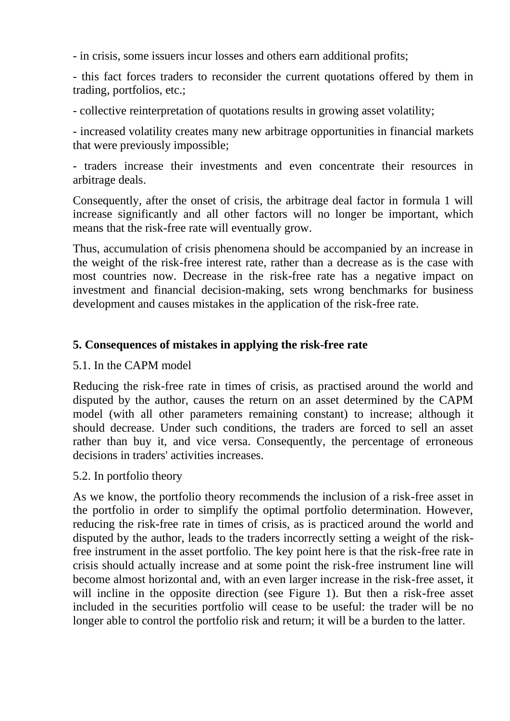- in crisis, some issuers incur losses and others earn additional profits;

- this fact forces traders to reconsider the current quotations offered by them in trading, portfolios, etc.;

- collective reinterpretation of quotations results in growing asset volatility;

- increased volatility creates many new arbitrage opportunities in financial markets that were previously impossible;

- traders increase their investments and even concentrate their resources in arbitrage deals.

Consequently, after the onset of crisis, the arbitrage deal factor in formula 1 will increase significantly and all other factors will no longer be important, which means that the risk-free rate will eventually grow.

Thus, accumulation of crisis phenomena should be accompanied by an increase in the weight of the risk-free interest rate, rather than a decrease as is the case with most countries now. Decrease in the risk-free rate has a negative impact on investment and financial decision-making, sets wrong benchmarks for business development and causes mistakes in the application of the risk-free rate.

# **5. Consequences of mistakes in applying the risk-free rate**

#### 5.1. In the CAPM model

Reducing the risk-free rate in times of crisis, as practised around the world and disputed by the author, causes the return on an asset determined by the CAPM model (with all other parameters remaining constant) to increase; although it should decrease. Under such conditions, the traders are forced to sell an asset rather than buy it, and vice versa. Consequently, the percentage of erroneous decisions in traders' activities increases.

#### 5.2. In portfolio theory

As we know, the portfolio theory recommends the inclusion of a risk-free asset in the portfolio in order to simplify the optimal portfolio determination. However, reducing the risk-free rate in times of crisis, as is practiced around the world and disputed by the author, leads to the traders incorrectly setting a weight of the riskfree instrument in the asset portfolio. The key point here is that the risk-free rate in crisis should actually increase and at some point the risk-free instrument line will become almost horizontal and, with an even larger increase in the risk-free asset, it will incline in the opposite direction (see Figure 1). But then a risk-free asset included in the securities portfolio will cease to be useful: the trader will be no longer able to control the portfolio risk and return; it will be a burden to the latter.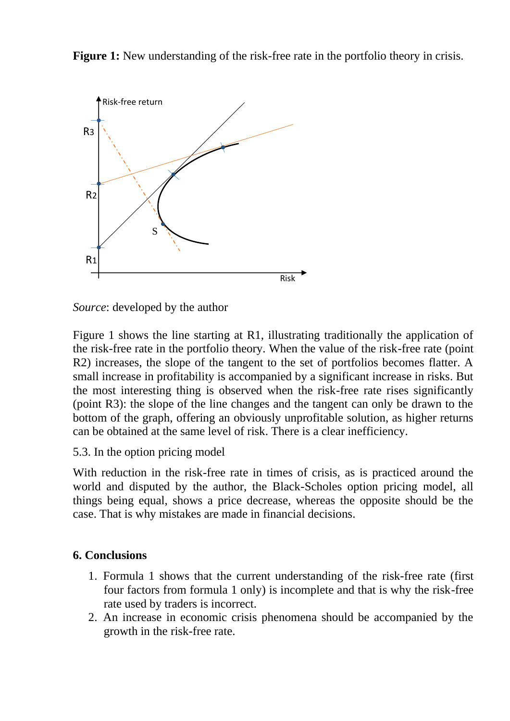**Figure 1:** New understanding of the risk-free rate in the portfolio theory in crisis.



*Source*: developed by the author

Figure 1 shows the line starting at R1, illustrating traditionally the application of the risk-free rate in the portfolio theory. When the value of the risk-free rate (point R2) increases, the slope of the tangent to the set of portfolios becomes flatter. A small increase in profitability is accompanied by a significant increase in risks. But the most interesting thing is observed when the risk-free rate rises significantly (point R3): the slope of the line changes and the tangent can only be drawn to the bottom of the graph, offering an obviously unprofitable solution, as higher returns can be obtained at the same level of risk. There is a clear inefficiency.

#### 5.3. In the option pricing model

With reduction in the risk-free rate in times of crisis, as is practiced around the world and disputed by the author, the Black-Scholes option pricing model, all things being equal, shows a price decrease, whereas the opposite should be the case. That is why mistakes are made in financial decisions.

### **6. Conclusions**

- 1. Formula 1 shows that the current understanding of the risk-free rate (first four factors from formula 1 only) is incomplete and that is why the risk-free rate used by traders is incorrect.
- 2. An increase in economic crisis phenomena should be accompanied by the growth in the risk-free rate.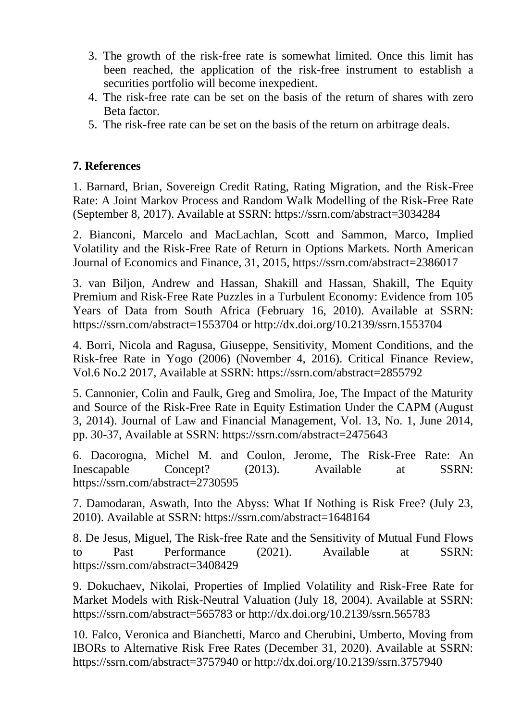- 3. The growth of the risk-free rate is somewhat limited. Once this limit has been reached, the application of the risk-free instrument to establish a securities portfolio will become inexpedient.
- 4. The risk-free rate can be set on the basis of the return of shares with zero Beta factor.
- 5. The risk-free rate can be set on the basis of the return on arbitrage deals.

## **7. References**

1. Barnard, Brian, Sovereign Credit Rating, Rating Migration, and the Risk-Free Rate: A Joint Markov Process and Random Walk Modelling of the Risk-Free Rate (September 8, 2017). Available at SSRN: https://ssrn.com/abstract=3034284

2. Bianconi, Marcelo and MacLachlan, Scott and Sammon, Marco, Implied Volatility and the Risk-Free Rate of Return in Options Markets. North American Journal of Economics and Finance, 31, 2015, https://ssrn.com/abstract=2386017

3. van Biljon, Andrew and Hassan, Shakill and Hassan, Shakill, The Equity Premium and Risk-Free Rate Puzzles in a Turbulent Economy: Evidence from 105 Years of Data from South Africa (February 16, 2010). Available at SSRN: https://ssrn.com/abstract=1553704 or http://dx.doi.org/10.2139/ssrn.1553704

4. Borri, Nicola and Ragusa, Giuseppe, Sensitivity, Moment Conditions, and the Risk-free Rate in Yogo (2006) (November 4, 2016). Critical Finance Review, Vol.6 No.2 2017, Available at SSRN: https://ssrn.com/abstract=2855792

5. Cannonier, Colin and Faulk, Greg and Smolira, Joe, The Impact of the Maturity and Source of the Risk-Free Rate in Equity Estimation Under the CAPM (August 3, 2014). Journal of Law and Financial Management, Vol. 13, No. 1, June 2014, pp. 30-37, Available at SSRN: https://ssrn.com/abstract=2475643

6. Dacorogna, Michel M. and Coulon, Jerome, The Risk-Free Rate: An Inescapable Concept? (2013). Available at SSRN: https://ssrn.com/abstract=2730595

7. Damodaran, Aswath, Into the Abyss: What If Nothing is Risk Free? (July 23, 2010). Available at SSRN: https://ssrn.com/abstract=1648164

8. De Jesus, Miguel, The Risk-free Rate and the Sensitivity of Mutual Fund Flows to Past Performance (2021). Available at SSRN: https://ssrn.com/abstract=3408429

9. Dokuchaev, Nikolai, Properties of Implied Volatility and Risk-Free Rate for Market Models with Risk-Neutral Valuation (July 18, 2004). Available at SSRN: https://ssrn.com/abstract=565783 or http://dx.doi.org/10.2139/ssrn.565783

10. Falco, Veronica and Bianchetti, Marco and Cherubini, Umberto, Moving from IBORs to Alternative Risk Free Rates (December 31, 2020). Available at SSRN: https://ssrn.com/abstract=3757940 or http://dx.doi.org/10.2139/ssrn.3757940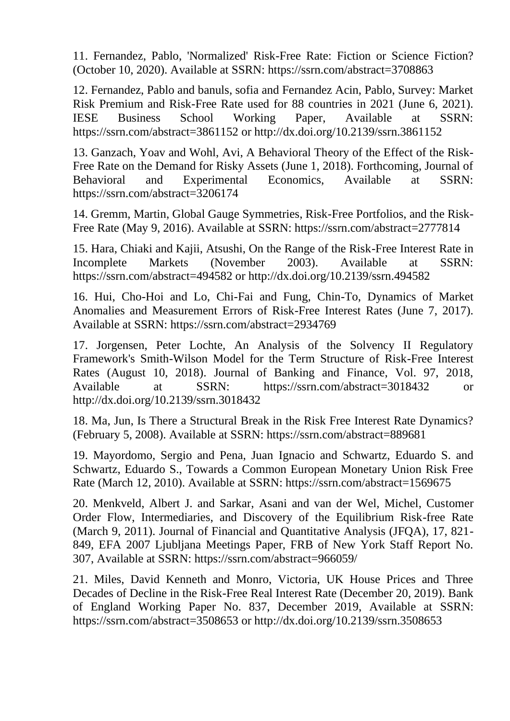11. Fernandez, Pablo, 'Normalized' Risk-Free Rate: Fiction or Science Fiction? (October 10, 2020). Available at SSRN: https://ssrn.com/abstract=3708863

12. Fernandez, Pablo and banuls, sofia and Fernandez Acin, Pablo, Survey: Market Risk Premium and Risk-Free Rate used for 88 countries in 2021 (June 6, 2021). IESE Business School Working Paper, Available at SSRN: https://ssrn.com/abstract=3861152 or http://dx.doi.org/10.2139/ssrn.3861152

13. Ganzach, Yoav and Wohl, Avi, A Behavioral Theory of the Effect of the Risk-Free Rate on the Demand for Risky Assets (June 1, 2018). Forthcoming, Journal of Behavioral and Experimental Economics, Available at SSRN: https://ssrn.com/abstract=3206174

14. Gremm, Martin, Global Gauge Symmetries, Risk-Free Portfolios, and the Risk-Free Rate (May 9, 2016). Available at SSRN: https://ssrn.com/abstract=2777814

15. Hara, Chiaki and Kajii, Atsushi, On the Range of the Risk-Free Interest Rate in Incomplete Markets (November 2003). Available at SSRN: https://ssrn.com/abstract=494582 or http://dx.doi.org/10.2139/ssrn.494582

16. Hui, Cho-Hoi and Lo, Chi-Fai and Fung, Chin-To, Dynamics of Market Anomalies and Measurement Errors of Risk-Free Interest Rates (June 7, 2017). Available at SSRN: https://ssrn.com/abstract=2934769

17. Jorgensen, Peter Lochte, An Analysis of the Solvency II Regulatory Framework's Smith-Wilson Model for the Term Structure of Risk-Free Interest Rates (August 10, 2018). Journal of Banking and Finance, Vol. 97, 2018, Available at SSRN: https://ssrn.com/abstract=3018432 or http://dx.doi.org/10.2139/ssrn.3018432

18. Ma, Jun, Is There a Structural Break in the Risk Free Interest Rate Dynamics? (February 5, 2008). Available at SSRN: https://ssrn.com/abstract=889681

19. Mayordomo, Sergio and Pena, Juan Ignacio and Schwartz, Eduardo S. and Schwartz, Eduardo S., Towards a Common European Monetary Union Risk Free Rate (March 12, 2010). Available at SSRN: https://ssrn.com/abstract=1569675

20. Menkveld, Albert J. and Sarkar, Asani and van der Wel, Michel, Customer Order Flow, Intermediaries, and Discovery of the Equilibrium Risk-free Rate (March 9, 2011). Journal of Financial and Quantitative Analysis (JFQA), 17, 821- 849, EFA 2007 Ljubljana Meetings Paper, FRB of New York Staff Report No. 307, Available at SSRN: https://ssrn.com/abstract=966059/

21. Miles, David Kenneth and Monro, Victoria, UK House Prices and Three Decades of Decline in the Risk-Free Real Interest Rate (December 20, 2019). Bank of England Working Paper No. 837, December 2019, Available at SSRN: https://ssrn.com/abstract=3508653 or http://dx.doi.org/10.2139/ssrn.3508653